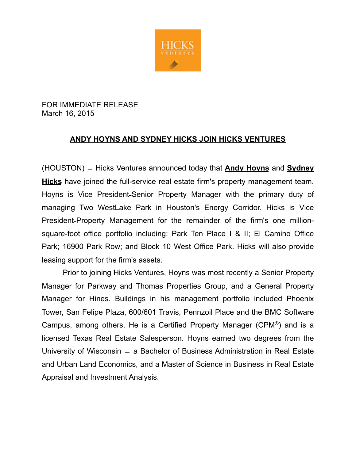

FOR IMMEDIATE RELEASE March 16, 2015

## **ANDY HOYNS AND SYDNEY HICKS JOIN HICKS VENTURES**

(HOUSTON) ̶ Hicks Ventures announced today that **Andy Hoyns** and **Sydney Hicks** have joined the full-service real estate firm's property management team. Hoyns is Vice President-Senior Property Manager with the primary duty of managing Two WestLake Park in Houston's Energy Corridor. Hicks is Vice President-Property Management for the remainder of the firm's one millionsquare-foot office portfolio including: Park Ten Place I & II; El Camino Office Park; 16900 Park Row; and Block 10 West Office Park. Hicks will also provide leasing support for the firm's assets.

 Prior to joining Hicks Ventures, Hoyns was most recently a Senior Property Manager for Parkway and Thomas Properties Group, and a General Property Manager for Hines. Buildings in his management portfolio included Phoenix Tower, San Felipe Plaza, 600/601 Travis, Pennzoil Place and the BMC Software Campus, among others. He is a Certified Property Manager (CPM®) and is a licensed Texas Real Estate Salesperson. Hoyns earned two degrees from the University of Wisconsin  $-$  a Bachelor of Business Administration in Real Estate and Urban Land Economics, and a Master of Science in Business in Real Estate Appraisal and Investment Analysis.